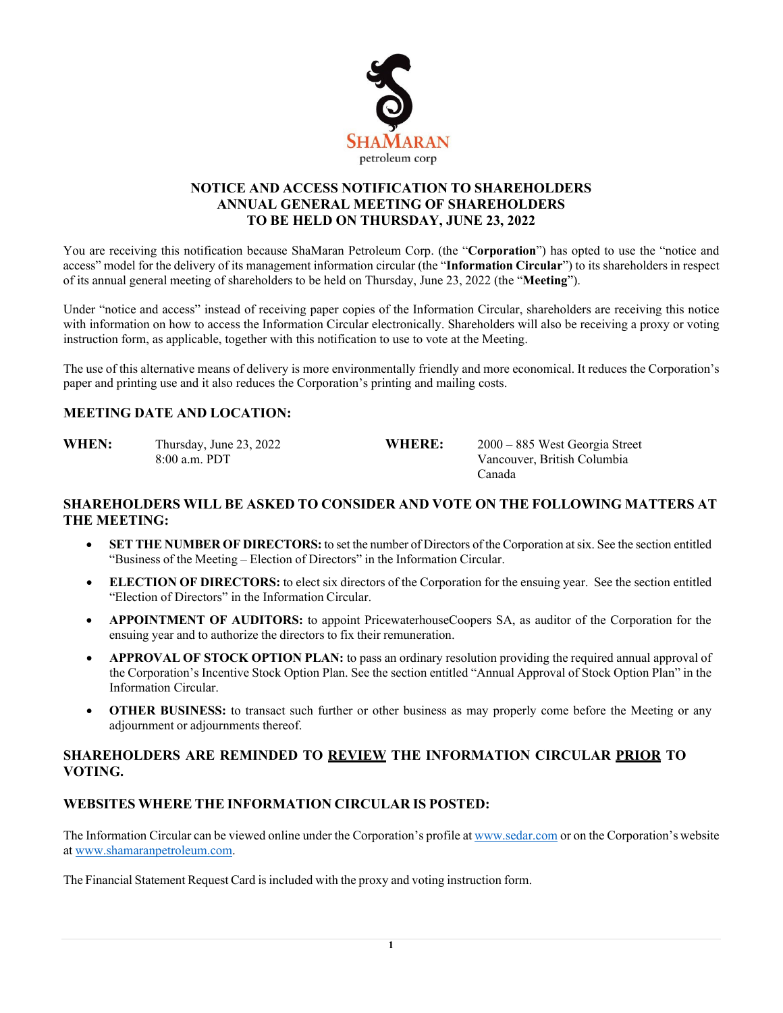

#### **NOTICE AND ACCESS NOTIFICATION TO SHAREHOLDERS ANNUAL GENERAL MEETING OF SHAREHOLDERS TO BE HELD ON THURSDAY, JUNE 23, 2022**

You are receiving this notification because ShaMaran Petroleum Corp. (the "**Corporation**") has opted to use the "notice and access" model for the delivery of its management information circular (the "**Information Circular**") to its shareholders in respect of its annual general meeting of shareholders to be held on Thursday, June 23, 2022 (the "**Meeting**").

Under "notice and access" instead of receiving paper copies of the Information Circular, shareholders are receiving this notice with information on how to access the Information Circular electronically. Shareholders will also be receiving a proxy or voting instruction form, as applicable, together with this notification to use to vote at the Meeting.

The use of this alternative means of delivery is more environmentally friendly and more economical. It reduces the Corporation's paper and printing use and it also reduces the Corporation's printing and mailing costs.

### **MEETING DATE AND LOCATION:**

**WHEN:** Thursday, June 23, 2022 **WHERE:** 2000 – 885 West Georgia Street 8:00 a.m. PDT Vancouver, British Columbia Canada

### **SHAREHOLDERS WILL BE ASKED TO CONSIDER AND VOTE ON THE FOLLOWING MATTERS AT THE MEETING:**

- **SET THE NUMBER OF DIRECTORS:** to set the number of Directors of the Corporation atsix. See the section entitled "Business of the Meeting – Election of Directors" in the Information Circular.
- **ELECTION OF DIRECTORS:** to elect six directors of the Corporation for the ensuing year. See the section entitled "Election of Directors" in the Information Circular.
- **APPOINTMENT OF AUDITORS:** to appoint PricewaterhouseCoopers SA, as auditor of the Corporation for the ensuing year and to authorize the directors to fix their remuneration.
- **APPROVAL OF STOCK OPTION PLAN:** to pass an ordinary resolution providing the required annual approval of the Corporation's Incentive Stock Option Plan. See the section entitled "Annual Approval of Stock Option Plan" in the Information Circular.
- **OTHER BUSINESS:** to transact such further or other business as may properly come before the Meeting or any adjournment or adjournments thereof.

### **SHAREHOLDERS ARE REMINDED TO REVIEW THE INFORMATION CIRCULAR PRIOR TO VOTING.**

#### **WEBSITES WHERE THE INFORMATION CIRCULAR IS POSTED:**

The Information Circular can be viewed online under the Corporation's profile a[t www.sedar.com](http://www.sedar.com/) or on the Corporation's website at [www.shamaranpetroleum.com.](http://www.shamaranpetroleum.com/)

The Financial Statement Request Card isincluded with the proxy and voting instruction form.